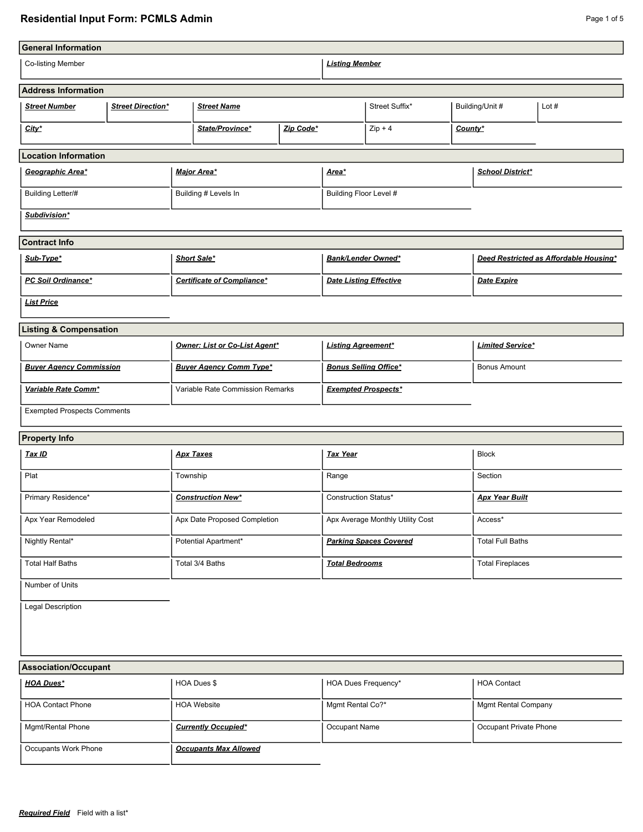# **Residential Input Form: PCMLS Admin Page 1 of 5** Page 1 of 5

J.

| <b>General Information</b>         |                          |                          |                                   |                             |                                  |                       |                         |                         |                                        |
|------------------------------------|--------------------------|--------------------------|-----------------------------------|-----------------------------|----------------------------------|-----------------------|-------------------------|-------------------------|----------------------------------------|
| Co-listing Member                  |                          |                          |                                   |                             | <b>Listing Member</b>            |                       |                         |                         |                                        |
| <b>Address Information</b>         |                          |                          |                                   |                             |                                  |                       |                         |                         |                                        |
| <b>Street Number</b>               | <b>Street Direction*</b> |                          | <b>Street Name</b>                |                             |                                  | Street Suffix*        |                         | Building/Unit #         | Lot $#$                                |
| City*                              |                          |                          | State/Province*                   | Zip Code*                   |                                  | $Zip + 4$             | County*                 |                         |                                        |
| <b>Location Information</b>        |                          |                          |                                   |                             |                                  |                       |                         |                         |                                        |
| Geographic Area*                   |                          |                          | Major Area*                       |                             | <u>Area*</u>                     |                       |                         | <b>School District*</b> |                                        |
| <b>Building Letter/#</b>           |                          |                          | Building # Levels In              |                             | Building Floor Level #           |                       |                         |                         |                                        |
| Subdivision*                       |                          |                          |                                   |                             |                                  |                       |                         |                         |                                        |
| <b>Contract Info</b>               |                          |                          |                                   |                             |                                  |                       |                         |                         |                                        |
| Sub-Type*                          |                          |                          | Short Sale*                       |                             | Bank/Lender Owned*               |                       |                         |                         | Deed Restricted as Affordable Housing* |
| PC Soil Ordinance*                 |                          |                          | <b>Certificate of Compliance*</b> |                             | <b>Date Listing Effective</b>    |                       |                         | Date Expire             |                                        |
| <b>List Price</b>                  |                          |                          |                                   |                             |                                  |                       |                         |                         |                                        |
| <b>Listing &amp; Compensation</b>  |                          |                          |                                   |                             |                                  |                       |                         |                         |                                        |
| <b>Owner Name</b>                  |                          |                          | Owner: List or Co-List Agent*     |                             | <b>Listing Agreement*</b>        |                       |                         | <b>Limited Service*</b> |                                        |
| <b>Buyer Agency Commission</b>     |                          |                          | <b>Buyer Agency Comm Type*</b>    |                             | <b>Bonus Selling Office*</b>     |                       |                         | <b>Bonus Amount</b>     |                                        |
| Variable Rate Comm*                |                          |                          | Variable Rate Commission Remarks  |                             | <b>Exempted Prospects*</b>       |                       |                         |                         |                                        |
| <b>Exempted Prospects Comments</b> |                          |                          |                                   |                             |                                  |                       |                         |                         |                                        |
| <b>Property Info</b>               |                          |                          |                                   |                             |                                  |                       |                         |                         |                                        |
| Tax ID                             |                          |                          | <b>Apx Taxes</b>                  |                             | <b>Tax Year</b>                  |                       |                         | <b>Block</b>            |                                        |
| Plat                               |                          | Township                 |                                   |                             | Range                            |                       |                         | Section                 |                                        |
| Primary Residence*                 |                          | <b>Construction New*</b> |                                   | <b>Construction Status*</b> |                                  | <b>Apx Year Built</b> |                         |                         |                                        |
| Apx Year Remodeled                 |                          |                          | Apx Date Proposed Completion      |                             | Apx Average Monthly Utility Cost |                       | Access*                 |                         |                                        |
| Nightly Rental*                    |                          |                          | Potential Apartment*              |                             | <b>Parking Spaces Covered</b>    |                       | <b>Total Full Baths</b> |                         |                                        |
| <b>Total Half Baths</b>            |                          |                          | Total 3/4 Baths                   |                             | <b>Total Bedrooms</b>            |                       | <b>Total Fireplaces</b> |                         |                                        |
| Number of Units                    |                          |                          |                                   |                             |                                  |                       |                         |                         |                                        |
| <b>Legal Description</b>           |                          |                          |                                   |                             |                                  |                       |                         |                         |                                        |

#### **Association/Occupant**

| <b>ASSOCIATION/OCCUPANT</b> |                              |                            |                            |
|-----------------------------|------------------------------|----------------------------|----------------------------|
| <b>HOA Dues*</b>            | HOA Dues \$                  | <b>HOA Dues Frequency*</b> | <b>HOA Contact</b>         |
| <b>HOA Contact Phone</b>    | <b>HOA Website</b>           | Mgmt Rental Co?*           | <b>Mgmt Rental Company</b> |
| Mgmt/Rental Phone           | <b>Currently Occupied*</b>   | Occupant Name              | Occupant Private Phone     |
| Occupants Work Phone        | <b>Occupants Max Allowed</b> |                            |                            |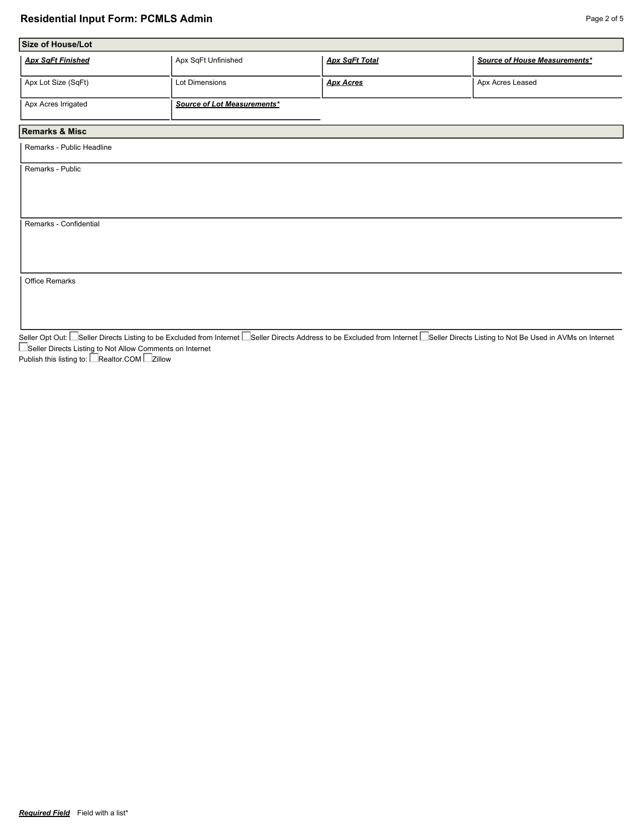#### **Residential Input Form: PCMLS Admin Page 2 of 5 Page 2 of 5 Page 2 of 5**

| Apx SqFt Unfinished         | <b>Apx SqFt Total</b> | Source of House Measurements* |
|-----------------------------|-----------------------|-------------------------------|
| Lot Dimensions              | <b>Apx Acres</b>      | Apx Acres Leased              |
| Source of Lot Measurements* |                       |                               |
|                             |                       |                               |
|                             |                       |                               |
|                             |                       |                               |
|                             |                       |                               |
|                             |                       |                               |
|                             |                       |                               |

Seller Opt Out: I\_Seller Directs Listing to be Excluded from Internet I\_Seller Directs Address to be Excluded from Internet I\_Seller Directs Listing to Not Be Used in AVMs on Internet Seller Directs Listing to Not Allow Comments on Internet

Publish this listing to: LeRealtor.COM Le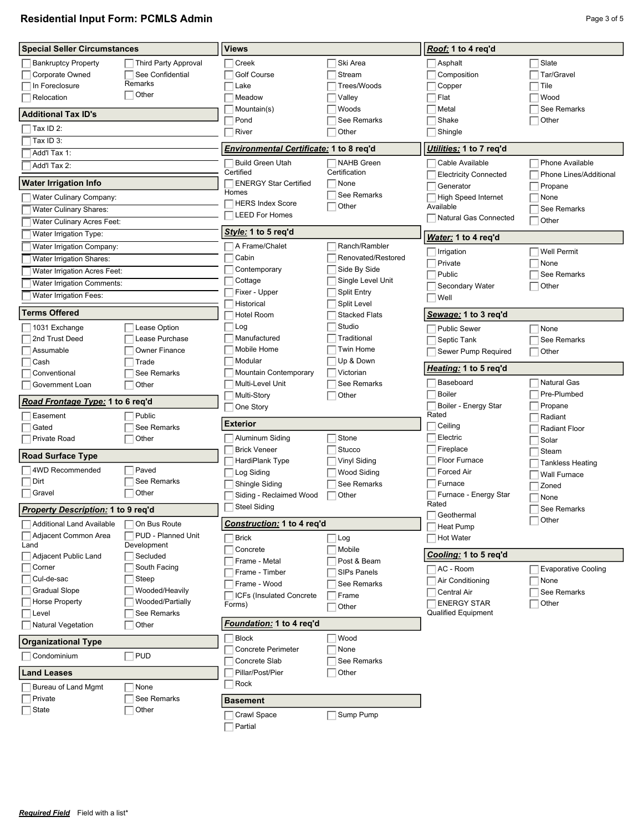$\overline{\Box}$  State

# **Residential Input Form: PCMLS Admin Page 3 of 5** and  $P$  and  $P$  and  $P$  and  $P$  and  $P$  and  $P$  and  $P$  and  $P$  and  $P$  and  $P$  and  $P$  and  $P$  and  $P$  and  $P$  and  $P$  and  $P$  and  $P$  and  $P$  and  $P$  and  $P$  and  $P$  an

ſ

| <b>Special Seller Circumstances</b>     |                             | <b>Views</b>                            |                                    | Roof: 1 to 4 req'd                        |                                   |
|-----------------------------------------|-----------------------------|-----------------------------------------|------------------------------------|-------------------------------------------|-----------------------------------|
| <b>Bankruptcy Property</b>              | <b>Third Party Approval</b> | Creek                                   | Ski Area                           | Asphalt                                   | Slate                             |
| Corporate Owned                         | See Confidential            | <b>Golf Course</b>                      | Stream                             | Composition                               | Tar/Gravel                        |
| In Foreclosure                          | Remarks                     | Lake                                    | Trees/Woods                        | Copper                                    | Tile                              |
| Relocation                              | $\exists$ Other             | Meadow                                  | Valley                             | Flat                                      | Wood                              |
|                                         |                             | Mountain(s)                             | Woods                              | Metal                                     | See Remarks                       |
| <b>Additional Tax ID's</b>              |                             | Pond                                    | See Remarks                        | Shake                                     | Other                             |
| Tax ID 2:                               |                             | River                                   | Other                              | Shingle                                   |                                   |
| Tax ID 3:                               |                             |                                         |                                    |                                           |                                   |
| Add'l Tax 1:                            |                             | Environmental Certificate: 1 to 8 req'd |                                    | Utilities: 1 to 7 req'd                   |                                   |
| Add'l Tax 2:                            |                             | <b>Build Green Utah</b><br>Certified    | <b>NAHB Green</b><br>Certification | Cable Available                           | Phone Available                   |
| Water Irrigation Info                   |                             | <b>ENERGY Star Certified</b>            | None                               | <b>Electricity Connected</b><br>Generator | Phone Lines/Additional<br>Propane |
| Water Culinary Company:                 |                             | Homes                                   | See Remarks                        | <b>High Speed Internet</b>                | None                              |
| <b>Water Culinary Shares:</b>           |                             | <b>HERS Index Score</b>                 | Other                              | Available                                 | See Remarks                       |
| Water Culinary Acres Feet:              |                             | <b>LEED For Homes</b>                   |                                    | Natural Gas Connected                     | Other                             |
| Water Irrigation Type:                  |                             | Style: 1 to 5 req'd                     |                                    |                                           |                                   |
| Water Irrigation Company:               |                             | A Frame/Chalet                          | Ranch/Rambler                      | Water: 1 to 4 req'd                       |                                   |
| Water Irrigation Shares:                |                             | Cabin                                   | Renovated/Restored                 | Irrigation                                | <b>Well Permit</b>                |
| Water Irrigation Acres Feet:            |                             | Contemporary                            | Side By Side                       | Private                                   | None                              |
| Water Irrigation Comments:              |                             | Cottage                                 | Single Level Unit                  | Public                                    | See Remarks<br>Other              |
| Water Irrigation Fees:                  |                             | Fixer - Upper                           | <b>Split Entry</b>                 | Secondary Water<br>Well                   |                                   |
|                                         |                             | Historical                              | Split Level                        |                                           |                                   |
| <b>Terms Offered</b>                    |                             | <b>Hotel Room</b>                       | <b>Stacked Flats</b>               | <u>Sewage:</u> 1 to 3 req'd               |                                   |
| 1031 Exchange                           | Lease Option                | Log                                     | Studio                             | <b>Public Sewer</b>                       | None                              |
| 2nd Trust Deed                          | Lease Purchase              | Manufactured                            | Traditional                        | Septic Tank                               | See Remarks                       |
| Assumable                               | Owner Finance               | Mobile Home                             | Twin Home                          | Sewer Pump Required                       | Other                             |
| Cash                                    | Trade                       | Modular                                 | Up & Down                          | <i>Heating:</i> 1 to 5 req'd              |                                   |
| Conventional                            | See Remarks                 | Mountain Contemporary                   | Victorian                          |                                           |                                   |
| Government Loan                         | Other                       | Multi-Level Unit                        | See Remarks                        | Baseboard                                 | <b>Natural Gas</b>                |
| <u>Road Frontage Type:</u> 1 to 6 req'd |                             | Multi-Story                             | Other                              | Boiler                                    | Pre-Plumbed                       |
| Easement                                | Public                      | One Story                               |                                    | Boiler - Energy Star<br>Rated             | Propane<br>Radiant                |
| Gated                                   | See Remarks                 | Exterior                                |                                    | Ceiling                                   | <b>Radiant Floor</b>              |
| Private Road                            | Other                       | Aluminum Siding                         | Stone                              | Electric                                  | Solar                             |
|                                         |                             | <b>Brick Veneer</b>                     | Stucco                             | Fireplace                                 | Steam                             |
| Road Surface Type                       |                             | HardiPlank Type                         | Vinyl Siding                       | Floor Furnace                             | <b>Tankless Heating</b>           |
| 4WD Recommended                         | Paved                       | Log Siding                              | Wood Siding                        | <b>Forced Air</b>                         | <b>Wall Furnace</b>               |
| Dirt                                    | See Remarks                 | Shingle Siding                          | See Remarks                        | Furnace                                   | Zoned                             |
| Gravel                                  | Other                       | Siding - Reclaimed Wood                 | Other                              | Furnace - Energy Star                     | None                              |
| Property Description: 1 to 9 req'd      |                             | Steel Siding                            |                                    | Rated                                     | See Remarks                       |
| <b>Additional Land Available</b>        | On Bus Route                | Construction: 1 to 4 req'd              |                                    | Geothermal                                | Other                             |
| Adjacent Common Area                    | PUD - Planned Unit          |                                         |                                    | Heat Pump                                 |                                   |
| Land                                    | Development                 | <b>Brick</b>                            | Log                                | <b>Hot Water</b>                          |                                   |
| Adjacent Public Land                    | Secluded                    | Concrete<br>Frame - Metal               | Mobile<br>Post & Beam              | Cooling: 1 to 5 reg'd                     |                                   |
| Corner                                  | South Facing                | Frame - Timber                          | <b>SIPs Panels</b>                 | AC - Room                                 | <b>Evaporative Cooling</b>        |
| Cul-de-sac                              | Steep                       | Frame - Wood                            | See Remarks                        | Air Conditioning                          | None                              |
| <b>Gradual Slope</b>                    | Wooded/Heavily              | ICFs (Insulated Concrete)               | Frame                              | Central Air                               | See Remarks                       |
| <b>Horse Property</b>                   | Wooded/Partially            | Forms)                                  | Other                              | <b>ENERGY STAR</b>                        | Other                             |
| Level                                   | See Remarks                 |                                         |                                    | <b>Qualified Equipment</b>                |                                   |
| <b>Natural Vegetation</b>               | Other                       | <i>Foundation:</i> 1 to 4 req'd         |                                    |                                           |                                   |
| Organizational Type                     |                             | <b>Block</b>                            | Wood                               |                                           |                                   |
| Condominium                             | PUD                         | Concrete Perimeter                      | None                               |                                           |                                   |
|                                         |                             | Concrete Slab                           | See Remarks                        |                                           |                                   |
| Land Leases                             |                             | Pillar/Post/Pier<br>Rock                | Other                              |                                           |                                   |
| Bureau of Land Mgmt                     | None<br>See Remarks         |                                         |                                    |                                           |                                   |
| Private<br>State                        | Other                       | <b>Basement</b>                         |                                    |                                           |                                   |
|                                         |                             | Crawl Snace                             | $\Box$ Sump Pump                   |                                           |                                   |

 $\overline{\Box}$  Partial

Crawl Space

■Sump Pump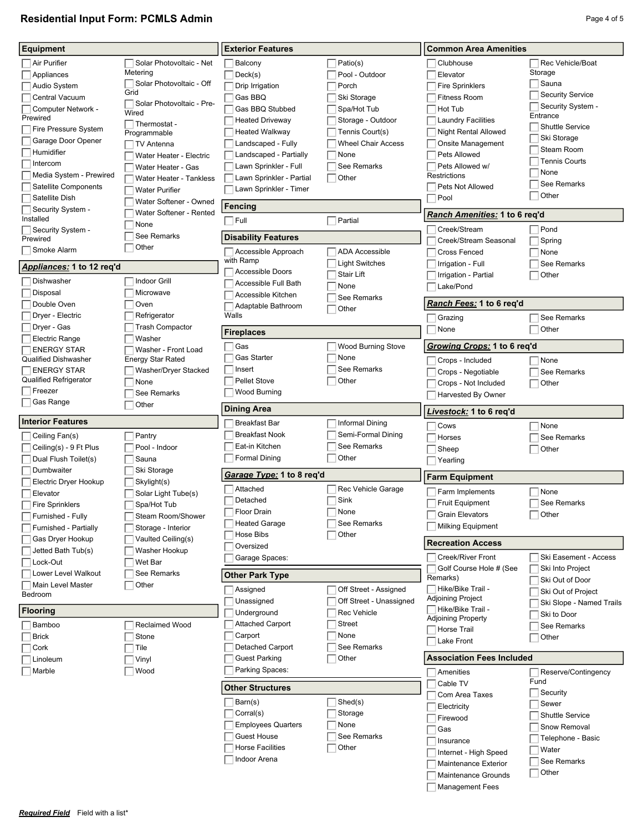# **Residential Input Form: PCMLS Admin Page 4 of 5 Page 4 of 5 Page 4 of 5**

| Equipment                     |                                    | <b>Exterior Features</b>         |                           | <b>Common Area Amenities</b>                    |                          |
|-------------------------------|------------------------------------|----------------------------------|---------------------------|-------------------------------------------------|--------------------------|
| Air Purifier                  | Solar Photovoltaic - Net           | Balcony                          | Patio(s)                  | Clubhouse                                       | Rec Vehicle/Boat         |
| Appliances                    | Metering                           | Deck(s)                          | Pool - Outdoor            | Elevator                                        | Storage                  |
| Audio System                  | Solar Photovoltaic - Off           | Drip Irrigation                  | Porch                     | <b>Fire Sprinklers</b>                          | $\Box$ Sauna             |
| Central Vacuum                | Grid                               | Gas BBQ                          | Ski Storage               | <b>Fitness Room</b>                             | <b>Security Service</b>  |
| Computer Network -            | Solar Photovoltaic - Pre-<br>Wired | Gas BBQ Stubbed                  | Spa/Hot Tub               | Hot Tub                                         | Security System -        |
| Prewired                      | $\Box$ Thermostat -                | <b>Heated Driveway</b>           | Storage - Outdoor         | <b>Laundry Facilities</b>                       | Entrance                 |
| Fire Pressure System          | Programmable                       | <b>Heated Walkway</b>            | Tennis Court(s)           | <b>Night Rental Allowed</b>                     | <b>Shuttle Service</b>   |
| Garage Door Opener            | TV Antenna                         | Landscaped - Fully               | <b>Wheel Chair Access</b> | <b>Onsite Management</b>                        | Ski Storage              |
| Humidifier                    | Water Heater - Electric            | Landscaped - Partially           | None                      | Pets Allowed                                    | Steam Room               |
| Intercom                      | Water Heater - Gas                 | Lawn Sprinkler - Full            | See Remarks               | Pets Allowed w/                                 | <b>Tennis Courts</b>     |
| Media System - Prewired       | Water Heater - Tankless            | Lawn Sprinkler - Partial         | Other                     | Restrictions                                    | None                     |
| Satellite Components          | <b>Water Purifier</b>              | Lawn Sprinkler - Timer           |                           | Pets Not Allowed                                | See Remarks              |
| Satellite Dish                | Water Softener - Owned             |                                  |                           | Pool                                            | Other                    |
| Security System -             | Water Softener - Rented            | <b>Fencing</b>                   |                           | Ranch Amenities: 1 to 6 reg'd                   |                          |
| Installed                     | None                               | $\sqcap$ Full                    | Partial                   |                                                 |                          |
| Security System -<br>Prewired | See Remarks                        | <b>Disability Features</b>       |                           | Creek/Stream                                    | Pond                     |
| Smoke Alarm                   | Other                              |                                  | <b>ADA Accessible</b>     | Creek/Stream Seasonal                           | Spring                   |
|                               |                                    | Accessible Approach<br>with Ramp |                           | <b>Cross Fenced</b>                             | None                     |
| Appliances: 1 to 12 reg'd     |                                    | Accessible Doors                 | <b>Light Switches</b>     | Irrigation - Full                               | See Remarks              |
| Dishwasher                    | <b>Indoor Grill</b>                | Accessible Full Bath             | Stair Lift                | Irrigation - Partial                            | Other                    |
| Disposal                      | Microwave                          | Accessible Kitchen               | None                      | Lake/Pond                                       |                          |
| Double Oven                   | Oven                               | Adaptable Bathroom               | See Remarks               | <i>Ranch Fees:</i> 1 to 6 reg'd                 |                          |
| Dryer - Electric              | Refrigerator                       | Walls                            | Other                     | Grazing                                         | See Remarks              |
| Dryer - Gas                   | <b>Trash Compactor</b>             |                                  |                           | None                                            | Other                    |
| <b>Electric Range</b>         | Washer                             | <b>Fireplaces</b>                |                           |                                                 |                          |
| <b>ENERGY STAR</b>            | Washer - Front Load                | Gas                              | <b>Wood Burning Stove</b> | Growing Crops: 1 to 6 reg'd                     |                          |
| <b>Qualified Dishwasher</b>   | <b>Energy Star Rated</b>           | <b>Gas Starter</b>               | None                      | Crops - Included                                | $\Box$ None              |
| <b>ENERGY STAR</b>            | Washer/Dryer Stacked               | Insert                           | See Remarks               | Crops - Negotiable                              | See Remarks              |
| Qualified Refrigerator        | None                               | <b>Pellet Stove</b>              | Other                     | Crops - Not Included                            | Other                    |
| Freezer                       | See Remarks                        | Wood Burning                     |                           | Harvested By Owner                              |                          |
| Gas Range                     | Other                              | <b>Dining Area</b>               |                           | <i>ivestock:</i> 1 to 6 req'd.                  |                          |
| <b>Interior Features</b>      |                                    | <b>Breakfast Bar</b>             | Informal Dining           | Cows                                            | None                     |
| Ceiling Fan(s)                | Pantry                             | <b>Breakfast Nook</b>            | Semi-Formal Dining        | Horses                                          | See Remarks              |
| Ceiling(s) - 9 Ft Plus        | Pool - Indoor                      | Eat-in Kitchen                   | See Remarks               | Sheep                                           | Other                    |
| Dual Flush Toilet(s)          | Sauna                              | <b>Formal Dining</b>             | Other                     | Yearling                                        |                          |
| Dumbwaiter                    | Ski Storage                        |                                  |                           |                                                 |                          |
| Electric Dryer Hookup         | Skylight(s)                        | Garage Type: 1 to 8 reg'd        |                           | <b>Farm Equipment</b>                           |                          |
| Elevator                      | Solar Light Tube(s)                | Attached                         | Rec Vehicle Garage        | Farm Implements                                 | None                     |
| <b>Fire Sprinklers</b>        |                                    | Detached                         | Sink                      | <b>Fruit Equipment</b>                          |                          |
|                               |                                    |                                  |                           |                                                 | See Remarks              |
|                               | Spa/Hot Tub                        | Floor Drain                      | $\Box$ None               | <b>Grain Elevators</b>                          | Other                    |
| Furnished - Fully             | Steam Room/Shower                  | <b>Heated Garage</b>             | See Remarks               | <b>Milking Equipment</b>                        |                          |
| Furnished - Partially         | Storage - Interior                 | Hose Bibs                        | Other                     |                                                 |                          |
| Gas Dryer Hookup              | Vaulted Ceiling(s)                 | Oversized                        |                           | <b>Recreation Access</b>                        |                          |
| Jetted Bath Tub(s)            | Washer Hookup                      | Garage Spaces:                   |                           | Creek/River Front                               | Ski Easement - Access    |
| Lock-Out                      | Wet Bar<br>See Remarks             |                                  |                           | Golf Course Hole # (See                         | Ski Into Project         |
| Lower Level Walkout           |                                    | <b>Other Park Type</b>           |                           | Remarks)                                        | Ski Out of Door          |
| Main Level Master<br>Bedroom  | Other                              | Assigned                         | Off Street - Assigned     | Hike/Bike Trail -                               | Ski Out of Project       |
|                               |                                    | Unassigned                       | Off Street - Unassigned   | Adjoining Project                               | Ski Slope - Named Trails |
| <b>Flooring</b>               |                                    | Underground                      | Rec Vehicle               | ∃Hike/Bike Trail -<br><b>Adjoining Property</b> | Ski to Door              |
| Bamboo                        | Reclaimed Wood                     | <b>Attached Carport</b>          | <b>Street</b>             | Horse Trail                                     | See Remarks              |
| <b>Brick</b>                  | Stone                              | Carport                          | None                      | Lake Front                                      | Other                    |
| Cork                          | Tile                               | Detached Carport                 | See Remarks               |                                                 |                          |
| Linoleum                      | Vinyl                              | <b>Guest Parking</b>             | Other                     | <b>Association Fees Included</b>                |                          |
| Marble                        | Wood                               | Parking Spaces:                  |                           | Amenities                                       | Reserve/Contingency      |
|                               |                                    | <b>Other Structures</b>          |                           | Cable TV                                        | Fund                     |
|                               |                                    |                                  |                           | Com Area Taxes                                  | $\Box$ Security          |
|                               |                                    | Barn(s)                          | Shed(s)                   | Electricity                                     | Sewer                    |
|                               |                                    | Corral(s)                        | Storage                   | Firewood                                        | <b>Shuttle Service</b>   |
|                               |                                    | <b>Employees Quarters</b>        | None                      | Gas                                             | Snow Removal             |
|                               |                                    | <b>Guest House</b>               | See Remarks               | Insurance                                       | Telephone - Basic        |
|                               |                                    | <b>Horse Facilities</b>          | Other                     | Internet - High Speed                           | Water                    |
|                               |                                    | Indoor Arena                     |                           | Maintenance Exterior                            | See Remarks              |
|                               |                                    |                                  |                           | Maintenance Grounds                             | $\Box$ Other             |